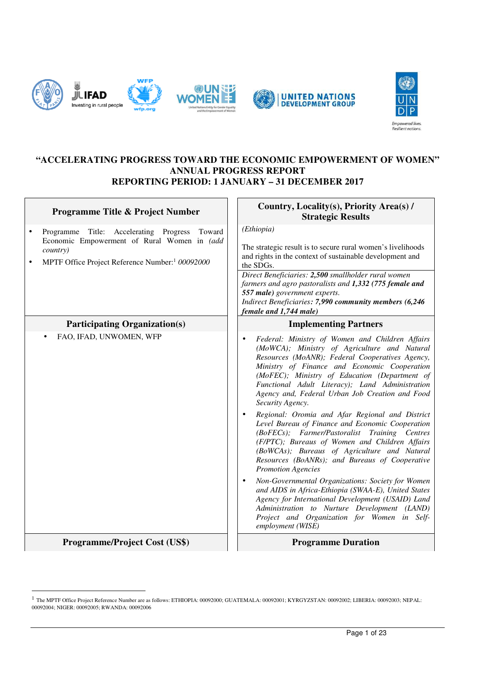



#### **"ACCELERATING PROGRESS TOWARD THE ECONOMIC EMPOWERMENT OF WOMEN" ANNUAL PROGRESS REPORT REPORTING PERIOD: 1 JANUARY – 31 DECEMBER 2017**

| Programme Title & Project Number                                                                                                                                                        | Country, Locality(s), Priority Area(s) /<br><b>Strategic Results</b>                                                                                                                                                                                                                                                                                                                                                                                                                                                                                                                                                                                                                                                                                                                                                                                                                                                                                                                                        |
|-----------------------------------------------------------------------------------------------------------------------------------------------------------------------------------------|-------------------------------------------------------------------------------------------------------------------------------------------------------------------------------------------------------------------------------------------------------------------------------------------------------------------------------------------------------------------------------------------------------------------------------------------------------------------------------------------------------------------------------------------------------------------------------------------------------------------------------------------------------------------------------------------------------------------------------------------------------------------------------------------------------------------------------------------------------------------------------------------------------------------------------------------------------------------------------------------------------------|
| Programme Title: Accelerating Progress<br>Toward<br>$\bullet$<br>Economic Empowerment of Rural Women in (add<br>country)<br>MPTF Office Project Reference Number: <sup>1</sup> 00092000 | (Ethiopia)<br>The strategic result is to secure rural women's livelihoods<br>and rights in the context of sustainable development and<br>the SDGs.<br>Direct Beneficiaries: 2,500 smallholder rural women<br>farmers and agro pastoralists and 1,332 (775 female and<br>557 male) government experts.<br>Indirect Beneficiaries: 7,990 community members (6,246<br>female and 1,744 male)                                                                                                                                                                                                                                                                                                                                                                                                                                                                                                                                                                                                                   |
| <b>Participating Organization(s)</b>                                                                                                                                                    | <b>Implementing Partners</b>                                                                                                                                                                                                                                                                                                                                                                                                                                                                                                                                                                                                                                                                                                                                                                                                                                                                                                                                                                                |
| FAO, IFAD, UNWOMEN, WFP                                                                                                                                                                 | Federal: Ministry of Women and Children Affairs<br>(MoWCA); Ministry of Agriculture and Natural<br>Resources (MoANR); Federal Cooperatives Agency,<br>Ministry of Finance and Economic Cooperation<br>(MoFEC); Ministry of Education (Department of<br>Functional Adult Literacy); Land Administration<br>Agency and, Federal Urban Job Creation and Food<br>Security Agency.<br>Regional: Oromia and Afar Regional and District<br>Level Bureau of Finance and Economic Cooperation<br>(BoFECs); Farmer/Pastoralist Training Centres<br>(F/PTC); Bureaus of Women and Children Affairs<br>(BoWCAs); Bureaus of Agriculture and Natural<br>Resources (BoANRs); and Bureaus of Cooperative<br><b>Promotion Agencies</b><br>Non-Governmental Organizations: Society for Women<br>and AIDS in Africa-Ethiopia (SWAA-E), United States<br>Agency for International Development (USAID) Land<br>Administration to Nurture Development (LAND)<br>Project and Organization for Women in Self-<br>employment (WISE) |
| <b>Programme/Project Cost (US\$)</b>                                                                                                                                                    | <b>Programme Duration</b>                                                                                                                                                                                                                                                                                                                                                                                                                                                                                                                                                                                                                                                                                                                                                                                                                                                                                                                                                                                   |

 1 The MPTF Office Project Reference Number are as follows: ETHIOPIA: 00092000; GUATEMALA: 00092001; KYRGYZSTAN: 00092002; LIBERIA: 00092003; NEPAL: 00092004; NIGER: 00092005; RWANDA: 00092006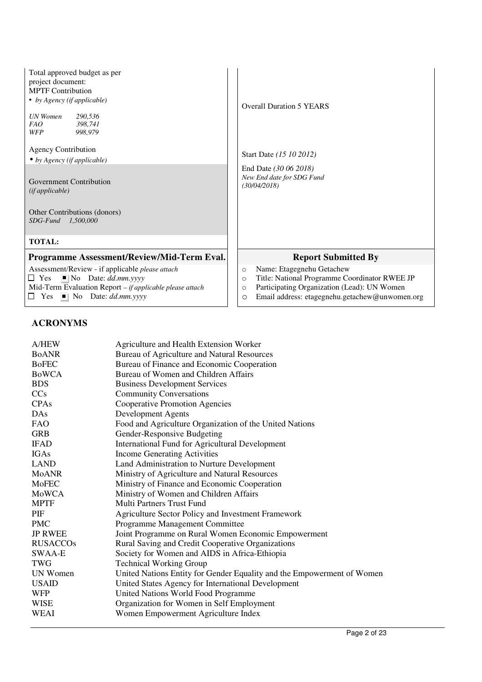| Total approved budget as per<br>project document:<br><b>MPTF Contribution</b><br>• by Agency (if applicable)<br>UN Women<br>290,536<br><i>FAO</i><br>398.741<br><b>WFP</b><br>998,979<br><b>Agency Contribution</b><br>$\bullet$ by Agency (if applicable)<br>Government Contribution<br>(ifappliedble)<br>Other Contributions (donors)<br>SDG-Fund<br>1,500,000 | <b>Overall Duration 5 YEARS</b><br>Start Date (15 10 2012)<br>End Date (30 06 2018)<br>New End date for SDG Fund<br>(30/04/2018)                                                                                        |
|------------------------------------------------------------------------------------------------------------------------------------------------------------------------------------------------------------------------------------------------------------------------------------------------------------------------------------------------------------------|-------------------------------------------------------------------------------------------------------------------------------------------------------------------------------------------------------------------------|
| <b>TOTAL:</b>                                                                                                                                                                                                                                                                                                                                                    |                                                                                                                                                                                                                         |
| Programme Assessment/Review/Mid-Term Eval.                                                                                                                                                                                                                                                                                                                       | <b>Report Submitted By</b>                                                                                                                                                                                              |
| Assessment/Review - if applicable please attach<br>$\Box$ Yes $\blacksquare$ No Date: dd.mm.yyyy<br>Mid-Term Evaluation Report - if applicable please attach<br>Yes $\blacksquare$ No Date: dd.mm.yyyy<br>⊔                                                                                                                                                      | Name: Etagegnehu Getachew<br>$\circ$<br>Title: National Programme Coordinator RWEE JP<br>$\circ$<br>Participating Organization (Lead): UN Women<br>$\circ$<br>Email address: etagegnehu.getachew@unwomen.org<br>$\circ$ |

# **ACRONYMS**

| A/HEW           | Agriculture and Health Extension Worker                                |
|-----------------|------------------------------------------------------------------------|
| <b>BoANR</b>    | Bureau of Agriculture and Natural Resources                            |
| <b>BoFEC</b>    | Bureau of Finance and Economic Cooperation                             |
| <b>BoWCA</b>    | Bureau of Women and Children Affairs                                   |
| <b>BDS</b>      | <b>Business Development Services</b>                                   |
| CCs             | <b>Community Conversations</b>                                         |
| CPAs            | <b>Cooperative Promotion Agencies</b>                                  |
| DAs             | Development Agents                                                     |
| <b>FAO</b>      | Food and Agriculture Organization of the United Nations                |
| <b>GRB</b>      | Gender-Responsive Budgeting                                            |
| <b>IFAD</b>     | <b>International Fund for Agricultural Development</b>                 |
| <b>IGAs</b>     | <b>Income Generating Activities</b>                                    |
| <b>LAND</b>     | Land Administration to Nurture Development                             |
| <b>MoANR</b>    | Ministry of Agriculture and Natural Resources                          |
| MoFEC           | Ministry of Finance and Economic Cooperation                           |
| MoWCA           | Ministry of Women and Children Affairs                                 |
| <b>MPTF</b>     | <b>Multi Partners Trust Fund</b>                                       |
| PIF             | Agriculture Sector Policy and Investment Framework                     |
| <b>PMC</b>      | Programme Management Committee                                         |
| <b>JP RWEE</b>  | Joint Programme on Rural Women Economic Empowerment                    |
| <b>RUSACCOs</b> | Rural Saving and Credit Cooperative Organizations                      |
| SWAA-E          | Society for Women and AIDS in Africa-Ethiopia                          |
| <b>TWG</b>      | <b>Technical Working Group</b>                                         |
| UN Women        | United Nations Entity for Gender Equality and the Empowerment of Women |
| <b>USAID</b>    | United States Agency for International Development                     |
| <b>WFP</b>      | United Nations World Food Programme                                    |
| <b>WISE</b>     | Organization for Women in Self Employment                              |
| WEAI            | Women Empowerment Agriculture Index                                    |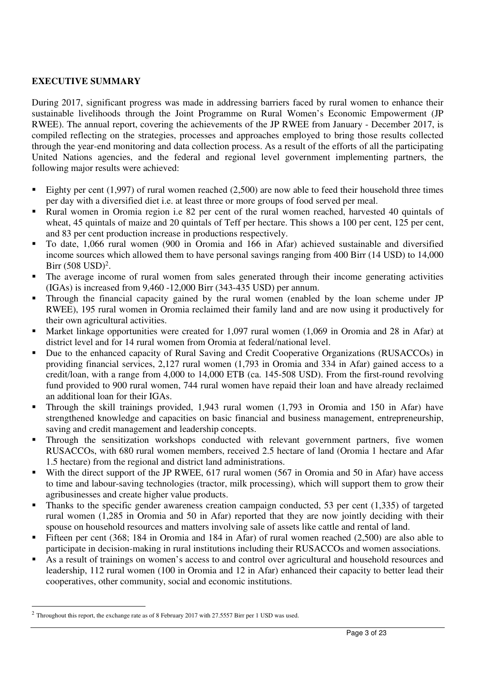# **EXECUTIVE SUMMARY**

During 2017, significant progress was made in addressing barriers faced by rural women to enhance their sustainable livelihoods through the Joint Programme on Rural Women's Economic Empowerment (JP RWEE). The annual report, covering the achievements of the JP RWEE from January - December 2017, is compiled reflecting on the strategies, processes and approaches employed to bring those results collected through the year-end monitoring and data collection process. As a result of the efforts of all the participating United Nations agencies, and the federal and regional level government implementing partners, the following major results were achieved:

- Eighty per cent (1,997) of rural women reached (2,500) are now able to feed their household three times per day with a diversified diet i.e. at least three or more groups of food served per meal.
- Rural women in Oromia region i.e 82 per cent of the rural women reached, harvested 40 quintals of wheat, 45 quintals of maize and 20 quintals of Teff per hectare. This shows a 100 per cent, 125 per cent, and 83 per cent production increase in productions respectively.
- To date, 1,066 rural women (900 in Oromia and 166 in Afar) achieved sustainable and diversified income sources which allowed them to have personal savings ranging from 400 Birr (14 USD) to 14,000  $Birr (508 USD)^2$ .
- The average income of rural women from sales generated through their income generating activities (IGAs) is increased from 9,460 -12,000 Birr (343-435 USD) per annum.
- Through the financial capacity gained by the rural women (enabled by the loan scheme under JP RWEE), 195 rural women in Oromia reclaimed their family land and are now using it productively for their own agricultural activities.
- Market linkage opportunities were created for 1,097 rural women (1,069 in Oromia and 28 in Afar) at district level and for 14 rural women from Oromia at federal/national level.
- Due to the enhanced capacity of Rural Saving and Credit Cooperative Organizations (RUSACCOs) in providing financial services, 2,127 rural women (1,793 in Oromia and 334 in Afar) gained access to a credit/loan, with a range from 4,000 to 14,000 ETB (ca. 145-508 USD). From the first-round revolving fund provided to 900 rural women, 744 rural women have repaid their loan and have already reclaimed an additional loan for their IGAs.
- Through the skill trainings provided, 1,943 rural women (1,793 in Oromia and 150 in Afar) have strengthened knowledge and capacities on basic financial and business management, entrepreneurship, saving and credit management and leadership concepts.
- Through the sensitization workshops conducted with relevant government partners, five women RUSACCOs, with 680 rural women members, received 2.5 hectare of land (Oromia 1 hectare and Afar 1.5 hectare) from the regional and district land administrations.
- With the direct support of the JP RWEE, 617 rural women (567 in Oromia and 50 in Afar) have access to time and labour-saving technologies (tractor, milk processing), which will support them to grow their agribusinesses and create higher value products.
- Thanks to the specific gender awareness creation campaign conducted, 53 per cent (1,335) of targeted rural women (1,285 in Oromia and 50 in Afar) reported that they are now jointly deciding with their spouse on household resources and matters involving sale of assets like cattle and rental of land.
- Fifteen per cent (368; 184 in Oromia and 184 in Afar) of rural women reached (2,500) are also able to participate in decision-making in rural institutions including their RUSACCOs and women associations.
- As a result of trainings on women's access to and control over agricultural and household resources and leadership, 112 rural women (100 in Oromia and 12 in Afar) enhanced their capacity to better lead their cooperatives, other community, social and economic institutions.

<sup>&</sup>lt;sup>2</sup> Throughout this report, the exchange rate as of 8 February 2017 with 27.5557 Birr per 1 USD was used.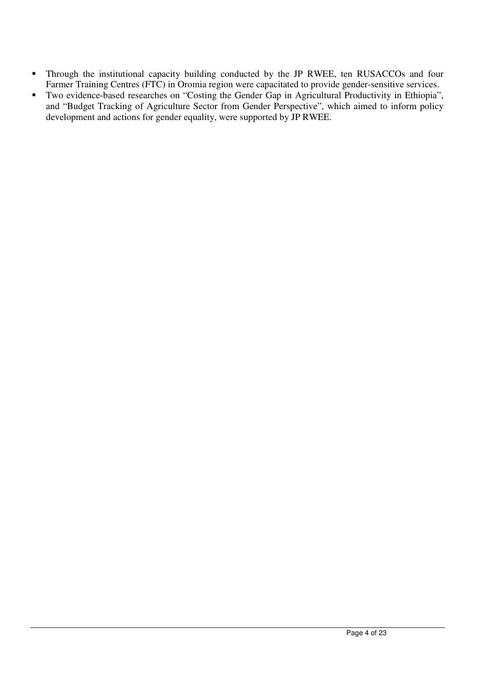- Through the institutional capacity building conducted by the JP RWEE, ten RUSACCOs and four Farmer Training Centres (FTC) in Oromia region were capacitated to provide gender-sensitive services.
- Two evidence-based researches on "Costing the Gender Gap in Agricultural Productivity in Ethiopia", and "Budget Tracking of Agriculture Sector from Gender Perspective", which aimed to inform policy development and actions for gender equality, were supported by JP RWEE.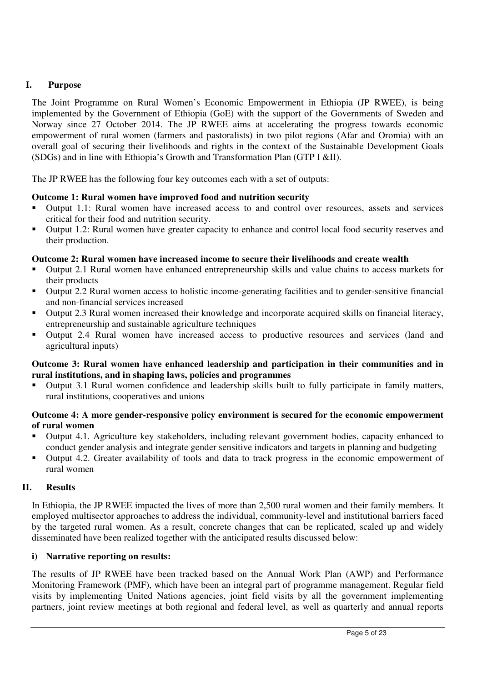# **I. Purpose**

The Joint Programme on Rural Women's Economic Empowerment in Ethiopia (JP RWEE), is being implemented by the Government of Ethiopia (GoE) with the support of the Governments of Sweden and Norway since 27 October 2014. The JP RWEE aims at accelerating the progress towards economic empowerment of rural women (farmers and pastoralists) in two pilot regions (Afar and Oromia) with an overall goal of securing their livelihoods and rights in the context of the Sustainable Development Goals (SDGs) and in line with Ethiopia's Growth and Transformation Plan (GTP I &II).

The JP RWEE has the following four key outcomes each with a set of outputs:

## **Outcome 1: Rural women have improved food and nutrition security**

- Output 1.1: Rural women have increased access to and control over resources, assets and services critical for their food and nutrition security.
- Output 1.2: Rural women have greater capacity to enhance and control local food security reserves and their production.

#### **Outcome 2: Rural women have increased income to secure their livelihoods and create wealth**

- Output 2.1 Rural women have enhanced entrepreneurship skills and value chains to access markets for their products
- Output 2.2 Rural women access to holistic income-generating facilities and to gender-sensitive financial and non-financial services increased
- Output 2.3 Rural women increased their knowledge and incorporate acquired skills on financial literacy, entrepreneurship and sustainable agriculture techniques
- Output 2.4 Rural women have increased access to productive resources and services (land and agricultural inputs)

#### **Outcome 3: Rural women have enhanced leadership and participation in their communities and in rural institutions, and in shaping laws, policies and programmes**

 Output 3.1 Rural women confidence and leadership skills built to fully participate in family matters, rural institutions, cooperatives and unions

## **Outcome 4: A more gender-responsive policy environment is secured for the economic empowerment of rural women**

- Output 4.1. Agriculture key stakeholders, including relevant government bodies, capacity enhanced to conduct gender analysis and integrate gender sensitive indicators and targets in planning and budgeting
- Output 4.2. Greater availability of tools and data to track progress in the economic empowerment of rural women

#### **II. Results**

In Ethiopia, the JP RWEE impacted the lives of more than 2,500 rural women and their family members. It employed multisector approaches to address the individual, community-level and institutional barriers faced by the targeted rural women. As a result, concrete changes that can be replicated, scaled up and widely disseminated have been realized together with the anticipated results discussed below:

#### **i) Narrative reporting on results:**

The results of JP RWEE have been tracked based on the Annual Work Plan (AWP) and Performance Monitoring Framework (PMF), which have been an integral part of programme management. Regular field visits by implementing United Nations agencies, joint field visits by all the government implementing partners, joint review meetings at both regional and federal level, as well as quarterly and annual reports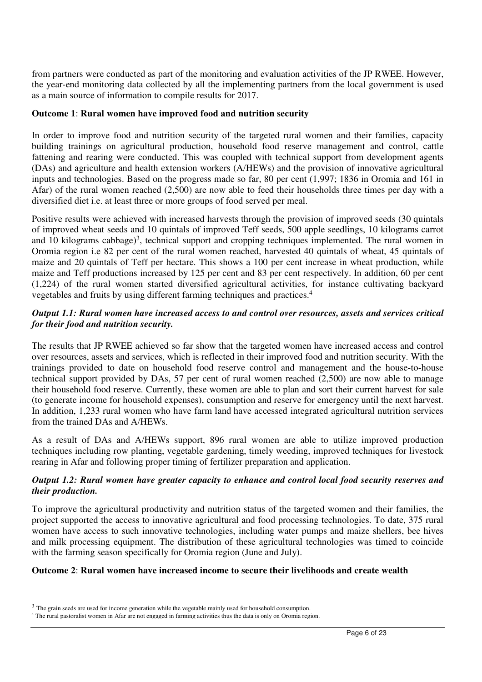from partners were conducted as part of the monitoring and evaluation activities of the JP RWEE. However, the year-end monitoring data collected by all the implementing partners from the local government is used as a main source of information to compile results for 2017.

## **Outcome 1**: **Rural women have improved food and nutrition security**

In order to improve food and nutrition security of the targeted rural women and their families, capacity building trainings on agricultural production, household food reserve management and control, cattle fattening and rearing were conducted. This was coupled with technical support from development agents (DAs) and agriculture and health extension workers (A/HEWs) and the provision of innovative agricultural inputs and technologies. Based on the progress made so far, 80 per cent (1,997; 1836 in Oromia and 161 in Afar) of the rural women reached (2,500) are now able to feed their households three times per day with a diversified diet i.e. at least three or more groups of food served per meal.

Positive results were achieved with increased harvests through the provision of improved seeds (30 quintals of improved wheat seeds and 10 quintals of improved Teff seeds, 500 apple seedlings, 10 kilograms carrot and 10 kilograms cabbage)<sup>3</sup>, technical support and cropping techniques implemented. The rural women in Oromia region i.e 82 per cent of the rural women reached, harvested 40 quintals of wheat, 45 quintals of maize and 20 quintals of Teff per hectare. This shows a 100 per cent increase in wheat production, while maize and Teff productions increased by 125 per cent and 83 per cent respectively. In addition, 60 per cent (1,224) of the rural women started diversified agricultural activities, for instance cultivating backyard vegetables and fruits by using different farming techniques and practices.<sup>4</sup>

# *Output 1.1: Rural women have increased access to and control over resources, assets and services critical for their food and nutrition security.*

The results that JP RWEE achieved so far show that the targeted women have increased access and control over resources, assets and services, which is reflected in their improved food and nutrition security. With the trainings provided to date on household food reserve control and management and the house-to-house technical support provided by DAs, 57 per cent of rural women reached (2,500) are now able to manage their household food reserve. Currently, these women are able to plan and sort their current harvest for sale (to generate income for household expenses), consumption and reserve for emergency until the next harvest. In addition, 1,233 rural women who have farm land have accessed integrated agricultural nutrition services from the trained DAs and A/HEWs.

As a result of DAs and A/HEWs support, 896 rural women are able to utilize improved production techniques including row planting, vegetable gardening, timely weeding, improved techniques for livestock rearing in Afar and following proper timing of fertilizer preparation and application.

## *Output 1.2: Rural women have greater capacity to enhance and control local food security reserves and their production.*

To improve the agricultural productivity and nutrition status of the targeted women and their families, the project supported the access to innovative agricultural and food processing technologies. To date, 375 rural women have access to such innovative technologies, including water pumps and maize shellers, bee hives and milk processing equipment. The distribution of these agricultural technologies was timed to coincide with the farming season specifically for Oromia region (June and July).

#### **Outcome 2**: **Rural women have increased income to secure their livelihoods and create wealth**

<sup>&</sup>lt;sup>3</sup> The grain seeds are used for income generation while the vegetable mainly used for household consumption.

<sup>4</sup> The rural pastoralist women in Afar are not engaged in farming activities thus the data is only on Oromia region.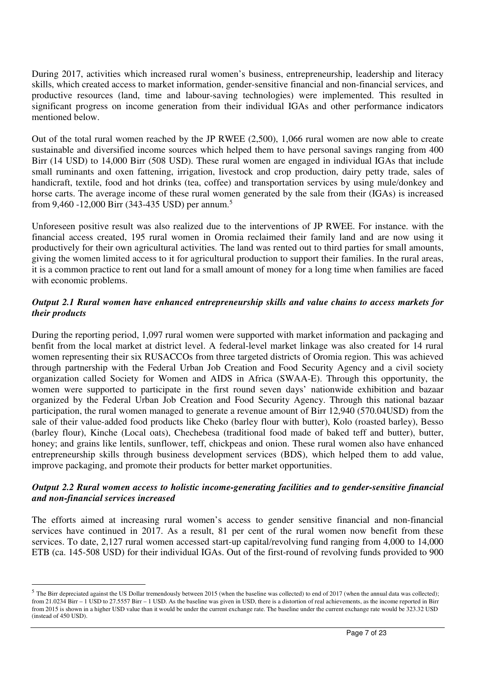During 2017, activities which increased rural women's business, entrepreneurship, leadership and literacy skills, which created access to market information, gender-sensitive financial and non-financial services, and productive resources (land, time and labour-saving technologies) were implemented. This resulted in significant progress on income generation from their individual IGAs and other performance indicators mentioned below.

Out of the total rural women reached by the JP RWEE (2,500), 1,066 rural women are now able to create sustainable and diversified income sources which helped them to have personal savings ranging from 400 Birr (14 USD) to 14,000 Birr (508 USD). These rural women are engaged in individual IGAs that include small ruminants and oxen fattening, irrigation, livestock and crop production, dairy petty trade, sales of handicraft, textile, food and hot drinks (tea, coffee) and transportation services by using mule/donkey and horse carts. The average income of these rural women generated by the sale from their (IGAs) is increased from 9,460 -12,000 Birr (343-435 USD) per annum.<sup>5</sup>

Unforeseen positive result was also realized due to the interventions of JP RWEE. For instance. with the financial access created, 195 rural women in Oromia reclaimed their family land and are now using it productively for their own agricultural activities. The land was rented out to third parties for small amounts, giving the women limited access to it for agricultural production to support their families. In the rural areas, it is a common practice to rent out land for a small amount of money for a long time when families are faced with economic problems.

# *Output 2.1 Rural women have enhanced entrepreneurship skills and value chains to access markets for their products*

During the reporting period, 1,097 rural women were supported with market information and packaging and benfit from the local market at district level. A federal-level market linkage was also created for 14 rural women representing their six RUSACCOs from three targeted districts of Oromia region. This was achieved through partnership with the Federal Urban Job Creation and Food Security Agency and a civil society organization called Society for Women and AIDS in Africa (SWAA-E). Through this opportunity, the women were supported to participate in the first round seven days' nationwide exhibition and bazaar organized by the Federal Urban Job Creation and Food Security Agency. Through this national bazaar participation, the rural women managed to generate a revenue amount of Birr 12,940 (570.04USD) from the sale of their value-added food products like Cheko (barley flour with butter), Kolo (roasted barley), Besso (barley flour), Kinche (Local oats), Chechebesa (traditional food made of baked teff and butter), butter, honey; and grains like lentils, sunflower, teff, chickpeas and onion. These rural women also have enhanced entrepreneurship skills through business development services (BDS), which helped them to add value, improve packaging, and promote their products for better market opportunities.

## *Output 2.2 Rural women access to holistic income-generating facilities and to gender-sensitive financial and non-financial services increased*

The efforts aimed at increasing rural women's access to gender sensitive financial and non-financial services have continued in 2017. As a result, 81 per cent of the rural women now benefit from these services. To date, 2,127 rural women accessed start-up capital/revolving fund ranging from 4,000 to 14,000 ETB (ca. 145-508 USD) for their individual IGAs. Out of the first-round of revolving funds provided to 900

 $<sup>5</sup>$  The Birr depreciated against the US Dollar tremendously between 2015 (when the baseline was collected) to end of 2017 (when the annual data was collected);</sup> from 21.0234 Birr – 1 USD to 27.5557 Birr – 1 USD. As the baseline was given in USD, there is a distortion of real achievements, as the income reported in Birr from 2015 is shown in a higher USD value than it would be under the current exchange rate. The baseline under the current exchange rate would be 323.32 USD (instead of 450 USD).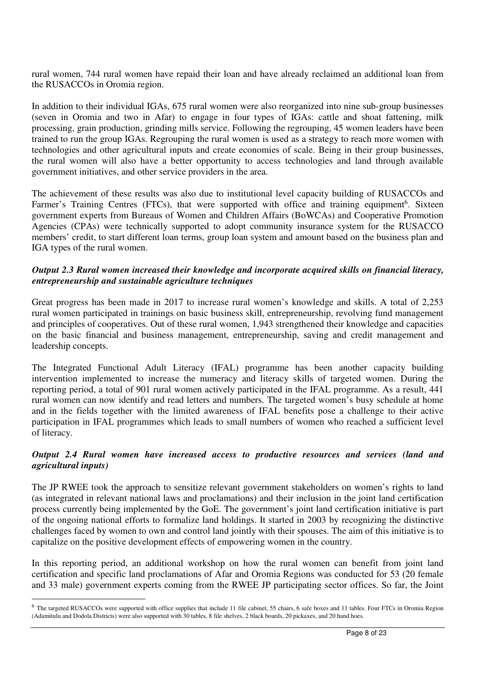rural women, 744 rural women have repaid their loan and have already reclaimed an additional loan from the RUSACCOs in Oromia region.

In addition to their individual IGAs, 675 rural women were also reorganized into nine sub-group businesses (seven in Oromia and two in Afar) to engage in four types of IGAs: cattle and shoat fattening, milk processing, grain production, grinding mills service. Following the regrouping, 45 women leaders have been trained to run the group IGAs. Regrouping the rural women is used as a strategy to reach more women with technologies and other agricultural inputs and create economies of scale. Being in their group businesses, the rural women will also have a better opportunity to access technologies and land through available government initiatives, and other service providers in the area.

The achievement of these results was also due to institutional level capacity building of RUSACCOs and Farmer's Training Centres (FTCs), that were supported with office and training equipment<sup>6</sup>. Sixteen government experts from Bureaus of Women and Children Affairs (BoWCAs) and Cooperative Promotion Agencies (CPAs) were technically supported to adopt community insurance system for the RUSACCO members' credit, to start different loan terms, group loan system and amount based on the business plan and IGA types of the rural women.

## *Output 2.3 Rural women increased their knowledge and incorporate acquired skills on financial literacy, entrepreneurship and sustainable agriculture techniques*

Great progress has been made in 2017 to increase rural women's knowledge and skills. A total of 2,253 rural women participated in trainings on basic business skill, entrepreneurship, revolving fund management and principles of cooperatives. Out of these rural women, 1,943 strengthened their knowledge and capacities on the basic financial and business management, entrepreneurship, saving and credit management and leadership concepts.

The Integrated Functional Adult Literacy (IFAL) programme has been another capacity building intervention implemented to increase the numeracy and literacy skills of targeted women. During the reporting period, a total of 901 rural women actively participated in the IFAL programme. As a result, 441 rural women can now identify and read letters and numbers. The targeted women's busy schedule at home and in the fields together with the limited awareness of IFAL benefits pose a challenge to their active participation in IFAL programmes which leads to small numbers of women who reached a sufficient level of literacy.

## *Output 2.4 Rural women have increased access to productive resources and services (land and agricultural inputs)*

The JP RWEE took the approach to sensitize relevant government stakeholders on women's rights to land (as integrated in relevant national laws and proclamations) and their inclusion in the joint land certification process currently being implemented by the GoE. The government's joint land certification initiative is part of the ongoing national efforts to formalize land holdings. It started in 2003 by recognizing the distinctive challenges faced by women to own and control land jointly with their spouses. The aim of this initiative is to capitalize on the positive development effects of empowering women in the country.

In this reporting period, an additional workshop on how the rural women can benefit from joint land certification and specific land proclamations of Afar and Oromia Regions was conducted for 53 (20 female and 33 male) government experts coming from the RWEE JP participating sector offices. So far, the Joint

<sup>&</sup>lt;sup>6</sup> The targeted RUSACCOs were supported with office supplies that include 11 file cabinet, 55 chairs, 6 safe boxes and 11 tables. Four FTCs in Oromia Region (Adamitulu and Dodola Districts) were also supported with 30 tables, 8 file shelves, 2 black boards, 20 pickaxes, and 20 hand hoes.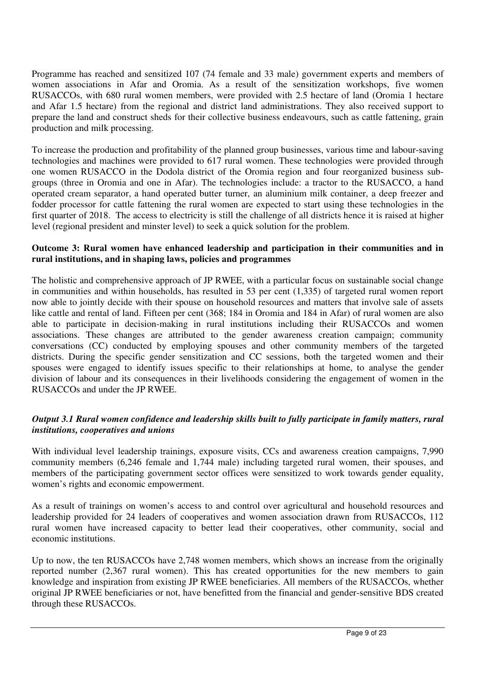Programme has reached and sensitized 107 (74 female and 33 male) government experts and members of women associations in Afar and Oromia. As a result of the sensitization workshops, five women RUSACCOs, with 680 rural women members, were provided with 2.5 hectare of land (Oromia 1 hectare and Afar 1.5 hectare) from the regional and district land administrations. They also received support to prepare the land and construct sheds for their collective business endeavours, such as cattle fattening, grain production and milk processing.

To increase the production and profitability of the planned group businesses, various time and labour-saving technologies and machines were provided to 617 rural women. These technologies were provided through one women RUSACCO in the Dodola district of the Oromia region and four reorganized business subgroups (three in Oromia and one in Afar). The technologies include: a tractor to the RUSACCO, a hand operated cream separator, a hand operated butter turner, an aluminium milk container, a deep freezer and fodder processor for cattle fattening the rural women are expected to start using these technologies in the first quarter of 2018. The access to electricity is still the challenge of all districts hence it is raised at higher level (regional president and minster level) to seek a quick solution for the problem.

# **Outcome 3: Rural women have enhanced leadership and participation in their communities and in rural institutions, and in shaping laws, policies and programmes**

The holistic and comprehensive approach of JP RWEE, with a particular focus on sustainable social change in communities and within households, has resulted in 53 per cent (1,335) of targeted rural women report now able to jointly decide with their spouse on household resources and matters that involve sale of assets like cattle and rental of land. Fifteen per cent (368; 184 in Oromia and 184 in Afar) of rural women are also able to participate in decision-making in rural institutions including their RUSACCOs and women associations. These changes are attributed to the gender awareness creation campaign; community conversations (CC) conducted by employing spouses and other community members of the targeted districts. During the specific gender sensitization and CC sessions, both the targeted women and their spouses were engaged to identify issues specific to their relationships at home, to analyse the gender division of labour and its consequences in their livelihoods considering the engagement of women in the RUSACCOs and under the JP RWEE.

# *Output 3.1 Rural women confidence and leadership skills built to fully participate in family matters, rural institutions, cooperatives and unions*

With individual level leadership trainings, exposure visits, CCs and awareness creation campaigns, 7,990 community members (6,246 female and 1,744 male) including targeted rural women, their spouses, and members of the participating government sector offices were sensitized to work towards gender equality, women's rights and economic empowerment.

As a result of trainings on women's access to and control over agricultural and household resources and leadership provided for 24 leaders of cooperatives and women association drawn from RUSACCOs, 112 rural women have increased capacity to better lead their cooperatives, other community, social and economic institutions.

Up to now, the ten RUSACCOs have 2,748 women members, which shows an increase from the originally reported number (2,367 rural women). This has created opportunities for the new members to gain knowledge and inspiration from existing JP RWEE beneficiaries. All members of the RUSACCOs, whether original JP RWEE beneficiaries or not, have benefitted from the financial and gender-sensitive BDS created through these RUSACCOs.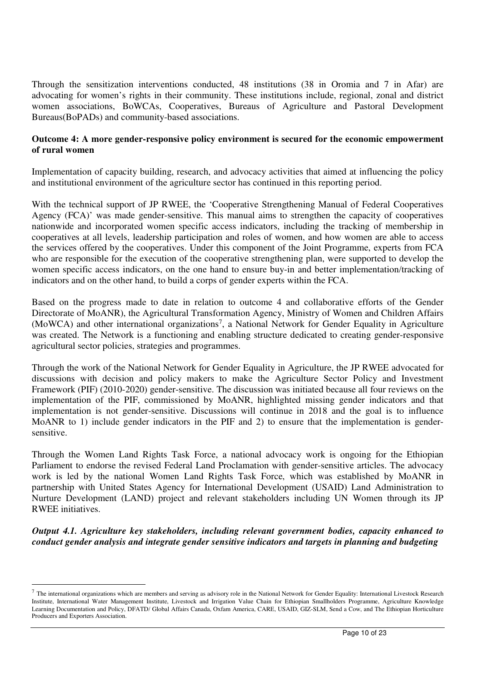Through the sensitization interventions conducted, 48 institutions (38 in Oromia and 7 in Afar) are advocating for women's rights in their community. These institutions include, regional, zonal and district women associations, BoWCAs, Cooperatives, Bureaus of Agriculture and Pastoral Development Bureaus(BoPADs) and community-based associations.

# **Outcome 4: A more gender-responsive policy environment is secured for the economic empowerment of rural women**

Implementation of capacity building, research, and advocacy activities that aimed at influencing the policy and institutional environment of the agriculture sector has continued in this reporting period.

With the technical support of JP RWEE, the 'Cooperative Strengthening Manual of Federal Cooperatives Agency (FCA)' was made gender-sensitive. This manual aims to strengthen the capacity of cooperatives nationwide and incorporated women specific access indicators, including the tracking of membership in cooperatives at all levels, leadership participation and roles of women, and how women are able to access the services offered by the cooperatives. Under this component of the Joint Programme, experts from FCA who are responsible for the execution of the cooperative strengthening plan, were supported to develop the women specific access indicators, on the one hand to ensure buy-in and better implementation/tracking of indicators and on the other hand, to build a corps of gender experts within the FCA.

Based on the progress made to date in relation to outcome 4 and collaborative efforts of the Gender Directorate of MoANR), the Agricultural Transformation Agency, Ministry of Women and Children Affairs (MoWCA) and other international organizations<sup>7</sup>, a National Network for Gender Equality in Agriculture was created. The Network is a functioning and enabling structure dedicated to creating gender-responsive agricultural sector policies, strategies and programmes.

Through the work of the National Network for Gender Equality in Agriculture, the JP RWEE advocated for discussions with decision and policy makers to make the Agriculture Sector Policy and Investment Framework (PIF) (2010-2020) gender-sensitive. The discussion was initiated because all four reviews on the implementation of the PIF, commissioned by MoANR, highlighted missing gender indicators and that implementation is not gender-sensitive. Discussions will continue in 2018 and the goal is to influence MoANR to 1) include gender indicators in the PIF and 2) to ensure that the implementation is gendersensitive.

Through the Women Land Rights Task Force, a national advocacy work is ongoing for the Ethiopian Parliament to endorse the revised Federal Land Proclamation with gender-sensitive articles. The advocacy work is led by the national Women Land Rights Task Force, which was established by MoANR in partnership with United States Agency for International Development (USAID) Land Administration to Nurture Development (LAND) project and relevant stakeholders including UN Women through its JP RWEE initiatives.

*Output 4.1. Agriculture key stakeholders, including relevant government bodies, capacity enhanced to conduct gender analysis and integrate gender sensitive indicators and targets in planning and budgeting* 

 $^7$  The international organizations which are members and serving as advisory role in the National Network for Gender Equality: International Livestock Research Institute, International Water Management Institute, Livestock and Irrigation Value Chain for Ethiopian Smallholders Programme, Agriculture Knowledge Learning Documentation and Policy, DFATD/ Global Affairs Canada, Oxfam America, CARE, USAID, GIZ-SLM, Send a Cow, and The Ethiopian Horticulture Producers and Exporters Association.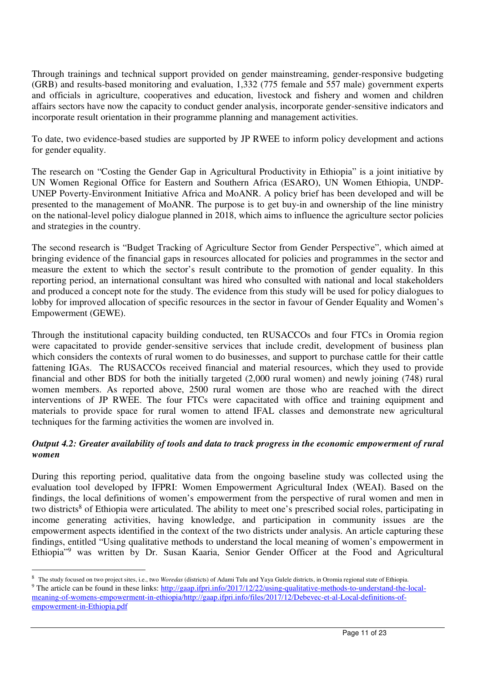Through trainings and technical support provided on gender mainstreaming, gender-responsive budgeting (GRB) and results-based monitoring and evaluation, 1,332 (775 female and 557 male) government experts and officials in agriculture, cooperatives and education, livestock and fishery and women and children affairs sectors have now the capacity to conduct gender analysis, incorporate gender-sensitive indicators and incorporate result orientation in their programme planning and management activities.

To date, two evidence-based studies are supported by JP RWEE to inform policy development and actions for gender equality.

The research on "Costing the Gender Gap in Agricultural Productivity in Ethiopia" is a joint initiative by UN Women Regional Office for Eastern and Southern Africa (ESARO), UN Women Ethiopia, UNDP-UNEP Poverty-Environment Initiative Africa and MoANR. A policy brief has been developed and will be presented to the management of MoANR. The purpose is to get buy-in and ownership of the line ministry on the national-level policy dialogue planned in 2018, which aims to influence the agriculture sector policies and strategies in the country.

The second research is "Budget Tracking of Agriculture Sector from Gender Perspective", which aimed at bringing evidence of the financial gaps in resources allocated for policies and programmes in the sector and measure the extent to which the sector's result contribute to the promotion of gender equality. In this reporting period, an international consultant was hired who consulted with national and local stakeholders and produced a concept note for the study. The evidence from this study will be used for policy dialogues to lobby for improved allocation of specific resources in the sector in favour of Gender Equality and Women's Empowerment (GEWE).

Through the institutional capacity building conducted, ten RUSACCOs and four FTCs in Oromia region were capacitated to provide gender-sensitive services that include credit, development of business plan which considers the contexts of rural women to do businesses, and support to purchase cattle for their cattle fattening IGAs. The RUSACCOs received financial and material resources, which they used to provide financial and other BDS for both the initially targeted (2,000 rural women) and newly joining (748) rural women members. As reported above, 2500 rural women are those who are reached with the direct interventions of JP RWEE. The four FTCs were capacitated with office and training equipment and materials to provide space for rural women to attend IFAL classes and demonstrate new agricultural techniques for the farming activities the women are involved in.

# *Output 4.2: Greater availability of tools and data to track progress in the economic empowerment of rural women*

During this reporting period, qualitative data from the ongoing baseline study was collected using the evaluation tool developed by IFPRI: Women Empowerment Agricultural Index (WEAI). Based on the findings, the local definitions of women's empowerment from the perspective of rural women and men in two districts<sup>8</sup> of Ethiopia were articulated. The ability to meet one's prescribed social roles, participating in income generating activities, having knowledge, and participation in community issues are the empowerment aspects identified in the context of the two districts under analysis. An article capturing these findings, entitled "Using qualitative methods to understand the local meaning of women's empowerment in Ethiopia"<sup>9</sup> was written by Dr. Susan Kaaria, Senior Gender Officer at the Food and Agricultural

<sup>8</sup> The study focused on two project sites, i.e., two *Woredas* (districts) of Adami Tulu and Yaya Gulele districts, in Oromia regional state of Ethiopia.

<sup>&</sup>lt;sup>9</sup> The article can be found in these links: http://gaap.ifpri.info/2017/12/22/using-qualitative-methods-to-understand-the-localmeaning-of-womens-empowerment-in-ethiopia/http://gaap.ifpri.info/files/2017/12/Debevec-et-al-Local-definitions-ofempowerment-in-Ethiopia.pdf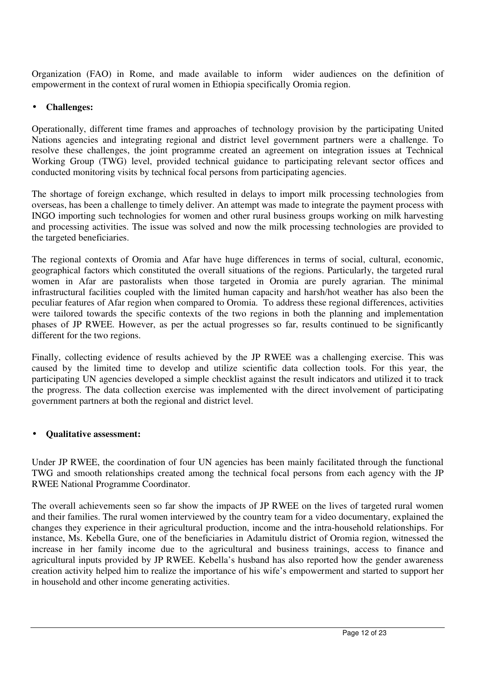Organization (FAO) in Rome, and made available to inform wider audiences on the definition of empowerment in the context of rural women in Ethiopia specifically Oromia region.

# • **Challenges:**

Operationally, different time frames and approaches of technology provision by the participating United Nations agencies and integrating regional and district level government partners were a challenge. To resolve these challenges, the joint programme created an agreement on integration issues at Technical Working Group (TWG) level, provided technical guidance to participating relevant sector offices and conducted monitoring visits by technical focal persons from participating agencies.

The shortage of foreign exchange, which resulted in delays to import milk processing technologies from overseas, has been a challenge to timely deliver. An attempt was made to integrate the payment process with INGO importing such technologies for women and other rural business groups working on milk harvesting and processing activities. The issue was solved and now the milk processing technologies are provided to the targeted beneficiaries.

The regional contexts of Oromia and Afar have huge differences in terms of social, cultural, economic, geographical factors which constituted the overall situations of the regions. Particularly, the targeted rural women in Afar are pastoralists when those targeted in Oromia are purely agrarian. The minimal infrastructural facilities coupled with the limited human capacity and harsh/hot weather has also been the peculiar features of Afar region when compared to Oromia. To address these regional differences, activities were tailored towards the specific contexts of the two regions in both the planning and implementation phases of JP RWEE. However, as per the actual progresses so far, results continued to be significantly different for the two regions.

Finally, collecting evidence of results achieved by the JP RWEE was a challenging exercise. This was caused by the limited time to develop and utilize scientific data collection tools. For this year, the participating UN agencies developed a simple checklist against the result indicators and utilized it to track the progress. The data collection exercise was implemented with the direct involvement of participating government partners at both the regional and district level.

#### • **Qualitative assessment:**

Under JP RWEE, the coordination of four UN agencies has been mainly facilitated through the functional TWG and smooth relationships created among the technical focal persons from each agency with the JP RWEE National Programme Coordinator.

The overall achievements seen so far show the impacts of JP RWEE on the lives of targeted rural women and their families. The rural women interviewed by the country team for a video documentary, explained the changes they experience in their agricultural production, income and the intra-household relationships. For instance, Ms. Kebella Gure, one of the beneficiaries in Adamitulu district of Oromia region, witnessed the increase in her family income due to the agricultural and business trainings, access to finance and agricultural inputs provided by JP RWEE. Kebella's husband has also reported how the gender awareness creation activity helped him to realize the importance of his wife's empowerment and started to support her in household and other income generating activities.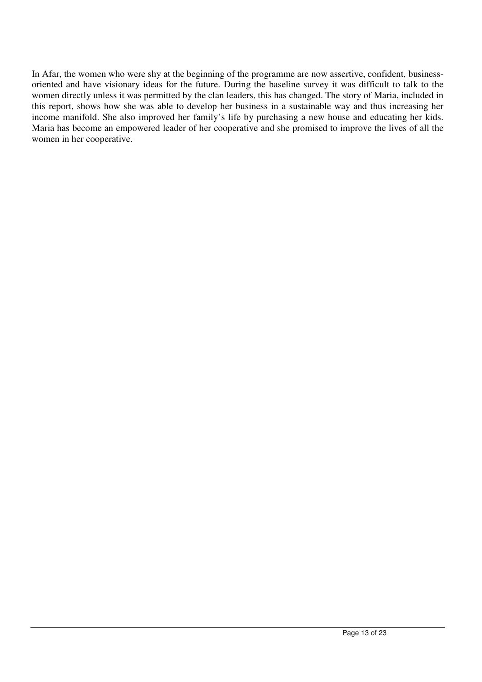In Afar, the women who were shy at the beginning of the programme are now assertive, confident, businessoriented and have visionary ideas for the future. During the baseline survey it was difficult to talk to the women directly unless it was permitted by the clan leaders, this has changed. The story of Maria, included in this report, shows how she was able to develop her business in a sustainable way and thus increasing her income manifold. She also improved her family's life by purchasing a new house and educating her kids. Maria has become an empowered leader of her cooperative and she promised to improve the lives of all the women in her cooperative.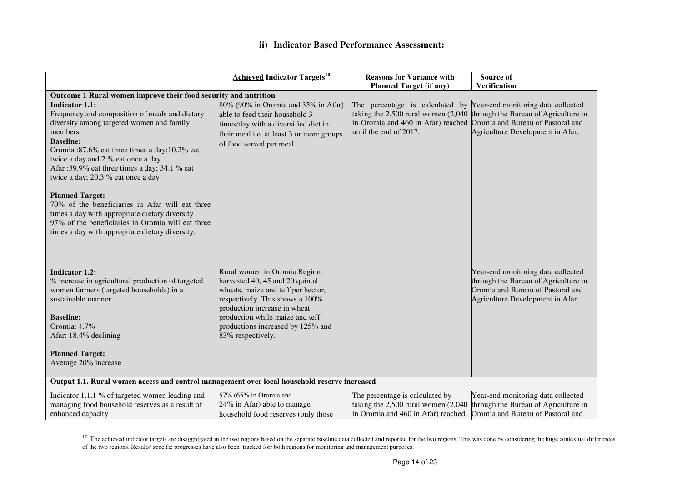## **ii) Indicator Based Performance Assessment:**

|                                                                                                                                                                                                                                                                                                                                                                                                               | <b>Achieved Indicator Targets<sup>10</sup></b>                                                                                                                                        | <b>Reasons for Variance with</b>                                                                                                            | Source of                                                                                                                                           |
|---------------------------------------------------------------------------------------------------------------------------------------------------------------------------------------------------------------------------------------------------------------------------------------------------------------------------------------------------------------------------------------------------------------|---------------------------------------------------------------------------------------------------------------------------------------------------------------------------------------|---------------------------------------------------------------------------------------------------------------------------------------------|-----------------------------------------------------------------------------------------------------------------------------------------------------|
|                                                                                                                                                                                                                                                                                                                                                                                                               |                                                                                                                                                                                       | <b>Planned Target (if any)</b>                                                                                                              | Verification                                                                                                                                        |
| Outcome 1 Rural women improve their food security and nutrition                                                                                                                                                                                                                                                                                                                                               |                                                                                                                                                                                       |                                                                                                                                             |                                                                                                                                                     |
| <b>Indicator 1.1:</b><br>Frequency and composition of meals and dietary<br>diversity among targeted women and family<br>members<br><b>Baseline:</b><br>Oromia:87.6% eat three times a day;10.2% eat<br>twice a day and 2 % eat once a day<br>Afar :39.9% eat three times a day; 34.1 % eat<br>twice a day; 20.3 % eat once a day<br><b>Planned Target:</b><br>70% of the beneficiaries in Afar will eat three | 80% (90% in Oromia and 35% in Afar)<br>able to feed their household 3<br>times/day with a diversified diet in<br>their meal i.e. at least 3 or more groups<br>of food served per meal | The percentage is calculated by<br>taking the $2,500$ rural women $(2,040)$<br>in Oromia and 460 in Afar) reached<br>until the end of 2017. | Year-end monitoring data collected<br>through the Bureau of Agriculture in<br>Oromia and Bureau of Pastoral and<br>Agriculture Development in Afar. |
| times a day with appropriate dietary diversity<br>97% of the beneficiaries in Oromia will eat three<br>times a day with appropriate dietary diversity.                                                                                                                                                                                                                                                        |                                                                                                                                                                                       |                                                                                                                                             |                                                                                                                                                     |
| <b>Indicator 1.2:</b>                                                                                                                                                                                                                                                                                                                                                                                         | Rural women in Oromia Region                                                                                                                                                          |                                                                                                                                             | Year-end monitoring data collected                                                                                                                  |
| % increase in agricultural production of targeted                                                                                                                                                                                                                                                                                                                                                             | harvested 40, 45 and 20 quintal                                                                                                                                                       |                                                                                                                                             | through the Bureau of Agriculture in                                                                                                                |
| women farmers (targeted households) in a                                                                                                                                                                                                                                                                                                                                                                      | wheats, maize and teff per hector,                                                                                                                                                    |                                                                                                                                             | Oromia and Bureau of Pastoral and                                                                                                                   |
| sustainable manner                                                                                                                                                                                                                                                                                                                                                                                            | respectively. This shows a 100%                                                                                                                                                       |                                                                                                                                             | Agriculture Development in Afar.                                                                                                                    |
|                                                                                                                                                                                                                                                                                                                                                                                                               | production increase in wheat                                                                                                                                                          |                                                                                                                                             |                                                                                                                                                     |
| <b>Baseline:</b>                                                                                                                                                                                                                                                                                                                                                                                              | production while maize and teff                                                                                                                                                       |                                                                                                                                             |                                                                                                                                                     |
| Oromia: 4.7%                                                                                                                                                                                                                                                                                                                                                                                                  | productions increased by 125% and                                                                                                                                                     |                                                                                                                                             |                                                                                                                                                     |
| Afar: 18.4% declining                                                                                                                                                                                                                                                                                                                                                                                         | 83% respectively.                                                                                                                                                                     |                                                                                                                                             |                                                                                                                                                     |
|                                                                                                                                                                                                                                                                                                                                                                                                               |                                                                                                                                                                                       |                                                                                                                                             |                                                                                                                                                     |
| <b>Planned Target:</b><br>Average 20% increase                                                                                                                                                                                                                                                                                                                                                                |                                                                                                                                                                                       |                                                                                                                                             |                                                                                                                                                     |
|                                                                                                                                                                                                                                                                                                                                                                                                               |                                                                                                                                                                                       |                                                                                                                                             |                                                                                                                                                     |
| Output 1.1. Rural women access and control management over local household reserve increased                                                                                                                                                                                                                                                                                                                  |                                                                                                                                                                                       |                                                                                                                                             |                                                                                                                                                     |
| Indicator 1.1.1 % of targeted women leading and                                                                                                                                                                                                                                                                                                                                                               | 57% (65% in Oromia and                                                                                                                                                                | The percentage is calculated by                                                                                                             | Year-end monitoring data collected                                                                                                                  |
| managing food household reserves as a result of                                                                                                                                                                                                                                                                                                                                                               | 24% in Afar) able to manage                                                                                                                                                           | taking the $2,500$ rural women $(2,040)$                                                                                                    | through the Bureau of Agriculture in                                                                                                                |
| enhanced capacity                                                                                                                                                                                                                                                                                                                                                                                             | household food reserves (only those                                                                                                                                                   | in Oromia and 460 in Afar) reached                                                                                                          | Oromia and Bureau of Pastoral and                                                                                                                   |

<sup>&</sup>lt;sup>10</sup> The achieved indicator targets are disaggregated in the two regions based on the separate baseline data collected and reported for the two regions. This was done by considering the huge contextual differences of the t

 $\sim$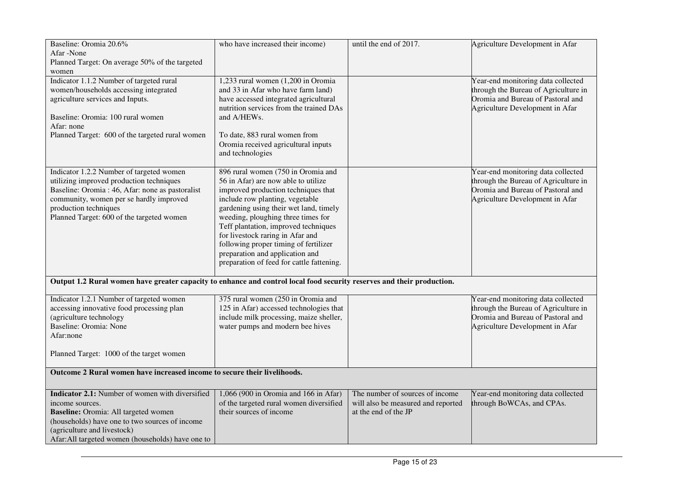| Baseline: Oromia 20.6%                                                                                                 | who have increased their income)                                                 | until the end of 2017.             | Agriculture Development in Afar                                           |
|------------------------------------------------------------------------------------------------------------------------|----------------------------------------------------------------------------------|------------------------------------|---------------------------------------------------------------------------|
| Afar -None                                                                                                             |                                                                                  |                                    |                                                                           |
| Planned Target: On average 50% of the targeted                                                                         |                                                                                  |                                    |                                                                           |
| women                                                                                                                  |                                                                                  |                                    |                                                                           |
| Indicator 1.1.2 Number of targeted rural                                                                               | 1,233 rural women (1,200 in Oromia                                               |                                    | Year-end monitoring data collected                                        |
| women/households accessing integrated                                                                                  | and 33 in Afar who have farm land)                                               |                                    | through the Bureau of Agriculture in<br>Oromia and Bureau of Pastoral and |
| agriculture services and Inputs.                                                                                       | have accessed integrated agricultural<br>nutrition services from the trained DAs |                                    |                                                                           |
| Baseline: Oromia: 100 rural women                                                                                      | and A/HEWs.                                                                      |                                    | Agriculture Development in Afar                                           |
| Afar: none                                                                                                             |                                                                                  |                                    |                                                                           |
| Planned Target: 600 of the targeted rural women                                                                        | To date, 883 rural women from                                                    |                                    |                                                                           |
|                                                                                                                        | Oromia received agricultural inputs                                              |                                    |                                                                           |
|                                                                                                                        | and technologies                                                                 |                                    |                                                                           |
|                                                                                                                        |                                                                                  |                                    |                                                                           |
| Indicator 1.2.2 Number of targeted women                                                                               | 896 rural women (750 in Oromia and                                               |                                    | Year-end monitoring data collected                                        |
| utilizing improved production techniques                                                                               | 56 in Afar) are now able to utilize                                              |                                    | through the Bureau of Agriculture in                                      |
| Baseline: Oromia : 46, Afar: none as pastoralist                                                                       | improved production techniques that                                              |                                    | Oromia and Bureau of Pastoral and                                         |
| community, women per se hardly improved                                                                                | include row planting, vegetable                                                  |                                    | Agriculture Development in Afar                                           |
| production techniques                                                                                                  | gardening using their wet land, timely                                           |                                    |                                                                           |
| Planned Target: 600 of the targeted women                                                                              | weeding, ploughing three times for                                               |                                    |                                                                           |
|                                                                                                                        | Teff plantation, improved techniques                                             |                                    |                                                                           |
|                                                                                                                        | for livestock raring in Afar and                                                 |                                    |                                                                           |
|                                                                                                                        | following proper timing of fertilizer                                            |                                    |                                                                           |
|                                                                                                                        | preparation and application and                                                  |                                    |                                                                           |
|                                                                                                                        | preparation of feed for cattle fattening.                                        |                                    |                                                                           |
|                                                                                                                        |                                                                                  |                                    |                                                                           |
| Output 1.2 Rural women have greater capacity to enhance and control local food security reserves and their production. |                                                                                  |                                    |                                                                           |
| Indicator 1.2.1 Number of targeted women                                                                               | 375 rural women (250 in Oromia and                                               |                                    | Year-end monitoring data collected                                        |
| accessing innovative food processing plan                                                                              | 125 in Afar) accessed technologies that                                          |                                    | through the Bureau of Agriculture in                                      |
| (agriculture technology                                                                                                | include milk processing, maize sheller,                                          |                                    | Oromia and Bureau of Pastoral and                                         |
| Baseline: Oromia: None                                                                                                 | water pumps and modern bee hives                                                 |                                    | Agriculture Development in Afar                                           |
| Afar:none                                                                                                              |                                                                                  |                                    |                                                                           |
|                                                                                                                        |                                                                                  |                                    |                                                                           |
| Planned Target: 1000 of the target women                                                                               |                                                                                  |                                    |                                                                           |
|                                                                                                                        |                                                                                  |                                    |                                                                           |
| Outcome 2 Rural women have increased income to secure their livelihoods.                                               |                                                                                  |                                    |                                                                           |
|                                                                                                                        |                                                                                  |                                    |                                                                           |
| Indicator 2.1: Number of women with diversified                                                                        | 1,066 (900 in Oromia and 166 in Afar)                                            | The number of sources of income    | Year-end monitoring data collected                                        |
| income sources.                                                                                                        | of the targeted rural women diversified                                          | will also be measured and reported | through BoWCAs, and CPAs.                                                 |
| Baseline: Oromia: All targeted women                                                                                   | their sources of income                                                          | at the end of the JP               |                                                                           |
| (households) have one to two sources of income                                                                         |                                                                                  |                                    |                                                                           |
| (agriculture and livestock)                                                                                            |                                                                                  |                                    |                                                                           |
| Afar:All targeted women (households) have one to                                                                       |                                                                                  |                                    |                                                                           |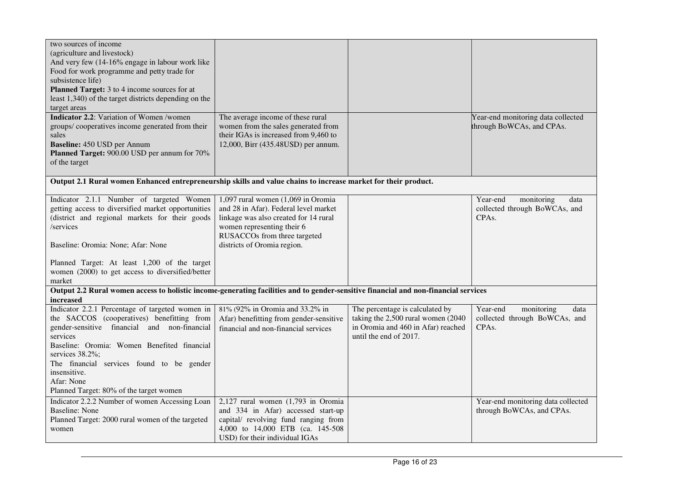| two sources of income<br>(agriculture and livestock)                                                                                |                                                            |                                    |                                                                 |
|-------------------------------------------------------------------------------------------------------------------------------------|------------------------------------------------------------|------------------------------------|-----------------------------------------------------------------|
| And very few (14-16% engage in labour work like                                                                                     |                                                            |                                    |                                                                 |
| Food for work programme and petty trade for                                                                                         |                                                            |                                    |                                                                 |
| subsistence life)                                                                                                                   |                                                            |                                    |                                                                 |
| Planned Target: 3 to 4 income sources for at                                                                                        |                                                            |                                    |                                                                 |
| least 1,340) of the target districts depending on the                                                                               |                                                            |                                    |                                                                 |
| target areas                                                                                                                        |                                                            |                                    |                                                                 |
| <b>Indicator 2.2:</b> Variation of Women /women                                                                                     | The average income of these rural                          |                                    | Year-end monitoring data collected                              |
| groups/cooperatives income generated from their                                                                                     | women from the sales generated from                        |                                    | through BoWCAs, and CPAs.                                       |
| sales                                                                                                                               | their IGAs is increased from 9,460 to                      |                                    |                                                                 |
| Baseline: 450 USD per Annum                                                                                                         | 12,000, Birr (435.48USD) per annum.                        |                                    |                                                                 |
| Planned Target: 900.00 USD per annum for 70%<br>of the target                                                                       |                                                            |                                    |                                                                 |
|                                                                                                                                     |                                                            |                                    |                                                                 |
| Output 2.1 Rural women Enhanced entrepreneurship skills and value chains to increase market for their product.                      |                                                            |                                    |                                                                 |
|                                                                                                                                     |                                                            |                                    |                                                                 |
| Indicator 2.1.1 Number of targeted Women                                                                                            | 1,097 rural women $(1,069)$ in Oromia                      |                                    | Year-end<br>monitoring<br>data                                  |
| getting access to diversified market opportunities                                                                                  | and 28 in Afar). Federal level market                      |                                    | collected through BoWCAs, and                                   |
| (district and regional markets for their goods                                                                                      | linkage was also created for 14 rural                      |                                    | CPA <sub>s</sub> .                                              |
| /services                                                                                                                           | women representing their 6<br>RUSACCOs from three targeted |                                    |                                                                 |
|                                                                                                                                     | districts of Oromia region.                                |                                    |                                                                 |
| Baseline: Oromia: None; Afar: None                                                                                                  |                                                            |                                    |                                                                 |
| Planned Target: At least 1,200 of the target                                                                                        |                                                            |                                    |                                                                 |
| women (2000) to get access to diversified/better                                                                                    |                                                            |                                    |                                                                 |
| market                                                                                                                              |                                                            |                                    |                                                                 |
| Output 2.2 Rural women access to holistic income-generating facilities and to gender-sensitive financial and non-financial services |                                                            |                                    |                                                                 |
| increased                                                                                                                           |                                                            |                                    |                                                                 |
| Indicator 2.2.1 Percentage of targeted women in                                                                                     | 81% (92% in Oromia and 33.2% in                            | The percentage is calculated by    | Year-end<br>monitoring<br>data                                  |
| the SACCOS (cooperatives) benefitting from                                                                                          | Afar) benefitting from gender-sensitive                    | taking the 2,500 rural women (2040 | collected through BoWCAs, and                                   |
| gender-sensitive financial and non-financial                                                                                        | financial and non-financial services                       | in Oromia and 460 in Afar) reached | CPA <sub>s</sub> .                                              |
| services                                                                                                                            |                                                            | until the end of 2017.             |                                                                 |
| Baseline: Oromia: Women Benefited financial                                                                                         |                                                            |                                    |                                                                 |
| services 38.2%;                                                                                                                     |                                                            |                                    |                                                                 |
| The financial services found to be gender<br>insensitive.                                                                           |                                                            |                                    |                                                                 |
| Afar: None                                                                                                                          |                                                            |                                    |                                                                 |
| Planned Target: 80% of the target women                                                                                             |                                                            |                                    |                                                                 |
| Indicator 2.2.2 Number of women Accessing Loan                                                                                      | $2,127$ rural women $(1,793$ in Oromia                     |                                    |                                                                 |
| <b>Baseline: None</b>                                                                                                               | and 334 in Afar) accessed start-up                         |                                    | Year-end monitoring data collected<br>through BoWCAs, and CPAs. |
| Planned Target: 2000 rural women of the targeted                                                                                    | capital/ revolving fund ranging from                       |                                    |                                                                 |
| women                                                                                                                               | 4,000 to 14,000 ETB (ca. 145-508)                          |                                    |                                                                 |
|                                                                                                                                     | USD) for their individual IGAs                             |                                    |                                                                 |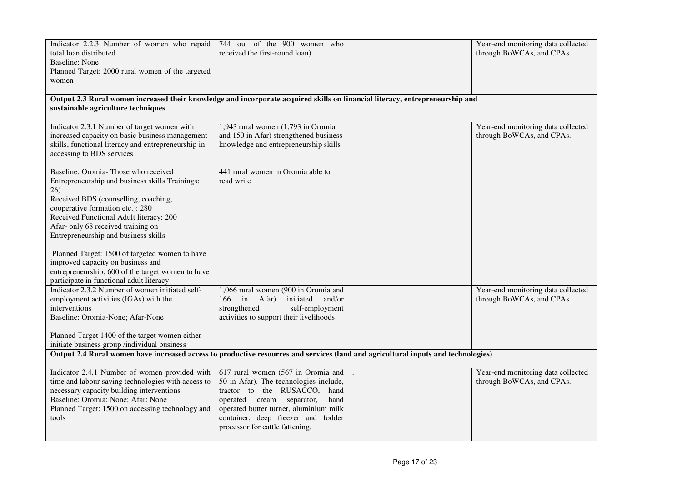| Indicator 2.2.3 Number of women who repaid<br>total loan distributed<br>Baseline: None<br>Planned Target: 2000 rural women of the targeted<br>women                                                                                                                                                | 744 out of the 900 women who<br>received the first-round loan)                                                                                                                                                                                                          | Year-end monitoring data collected<br>through BoWCAs, and CPAs. |
|----------------------------------------------------------------------------------------------------------------------------------------------------------------------------------------------------------------------------------------------------------------------------------------------------|-------------------------------------------------------------------------------------------------------------------------------------------------------------------------------------------------------------------------------------------------------------------------|-----------------------------------------------------------------|
| Output 2.3 Rural women increased their knowledge and incorporate acquired skills on financial literacy, entrepreneurship and<br>sustainable agriculture techniques                                                                                                                                 |                                                                                                                                                                                                                                                                         |                                                                 |
| Indicator 2.3.1 Number of target women with<br>increased capacity on basic business management<br>skills, functional literacy and entrepreneurship in<br>accessing to BDS services                                                                                                                 | 1,943 rural women (1,793 in Oromia<br>and 150 in Afar) strengthened business<br>knowledge and entrepreneurship skills                                                                                                                                                   | Year-end monitoring data collected<br>through BoWCAs, and CPAs. |
| Baseline: Oromia-Those who received<br>Entrepreneurship and business skills Trainings:<br>26)<br>Received BDS (counselling, coaching,<br>cooperative formation etc.): 280<br>Received Functional Adult literacy: 200<br>Afar- only 68 received training on<br>Entrepreneurship and business skills | 441 rural women in Oromia able to<br>read write                                                                                                                                                                                                                         |                                                                 |
| Planned Target: 1500 of targeted women to have<br>improved capacity on business and<br>entrepreneurship; 600 of the target women to have<br>participate in functional adult literacy                                                                                                               |                                                                                                                                                                                                                                                                         |                                                                 |
| Indicator 2.3.2 Number of women initiated self-<br>employment activities (IGAs) with the<br>interventions<br>Baseline: Oromia-None; Afar-None<br>Planned Target 1400 of the target women either<br>initiate business group /individual business                                                    | 1,066 rural women (900 in Oromia and<br>166<br>in Afar)<br>initiated<br>and/or<br>strengthened<br>self-employment<br>activities to support their livelihoods                                                                                                            | Year-end monitoring data collected<br>through BoWCAs, and CPAs. |
| Output 2.4 Rural women have increased access to productive resources and services (land and agricultural inputs and technologies)                                                                                                                                                                  |                                                                                                                                                                                                                                                                         |                                                                 |
| Indicator 2.4.1 Number of women provided with<br>time and labour saving technologies with access to<br>necessary capacity building interventions<br>Baseline: Oromia: None; Afar: None<br>Planned Target: 1500 on accessing technology and<br>tools                                                | 617 rural women (567 in Oromia and<br>50 in Afar). The technologies include,<br>tractor to the RUSACCO, hand<br>separator,<br>operated cream<br>hand<br>operated butter turner, aluminium milk<br>container, deep freezer and fodder<br>processor for cattle fattening. | Year-end monitoring data collected<br>through BoWCAs, and CPAs. |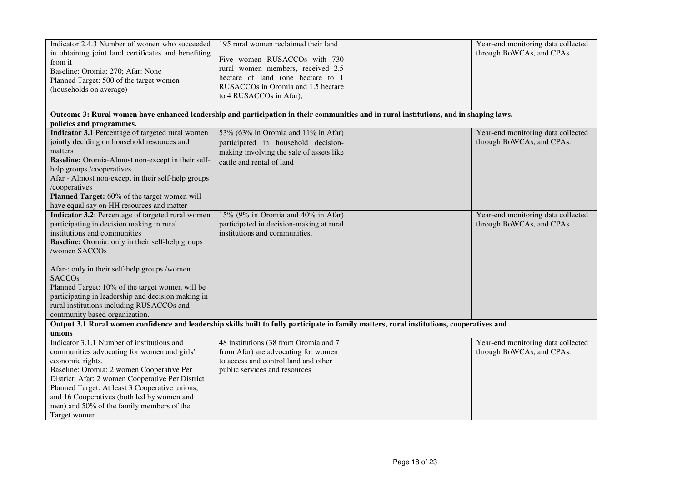| Indicator 2.4.3 Number of women who succeeded<br>in obtaining joint land certificates and benefiting<br>from it<br>Baseline: Oromia: 270; Afar: None<br>Planned Target: 500 of the target women<br>(households on average)                                                                                                                                                                                                                                         | 195 rural women reclaimed their land<br>Five women RUSACCOs with 730<br>rural women members, received 2.5<br>hectare of land (one hectare to 1<br>RUSACCOs in Oromia and 1.5 hectare<br>to 4 RUSACCOs in Afar), |  | Year-end monitoring data collected<br>through BoWCAs, and CPAs. |
|--------------------------------------------------------------------------------------------------------------------------------------------------------------------------------------------------------------------------------------------------------------------------------------------------------------------------------------------------------------------------------------------------------------------------------------------------------------------|-----------------------------------------------------------------------------------------------------------------------------------------------------------------------------------------------------------------|--|-----------------------------------------------------------------|
| Outcome 3: Rural women have enhanced leadership and participation in their communities and in rural institutions, and in shaping laws,<br>policies and programmes.                                                                                                                                                                                                                                                                                                 |                                                                                                                                                                                                                 |  |                                                                 |
| Indicator 3.1 Percentage of targeted rural women<br>jointly deciding on household resources and<br>matters<br>Baseline: Oromia-Almost non-except in their self-<br>help groups /cooperatives<br>Afar - Almost non-except in their self-help groups<br>/cooperatives<br>Planned Target: 60% of the target women will<br>have equal say on HH resources and matter                                                                                                   | 53% (63% in Oromia and 11% in Afar)<br>participated in household decision-<br>making involving the sale of assets like<br>cattle and rental of land                                                             |  | Year-end monitoring data collected<br>through BoWCAs, and CPAs. |
| Indicator 3.2: Percentage of targeted rural women<br>participating in decision making in rural<br>institutions and communities<br><b>Baseline:</b> Oromia: only in their self-help groups<br>/women SACCOs<br>Afar-: only in their self-help groups /women<br><b>SACCOs</b><br>Planned Target: 10% of the target women will be<br>participating in leadership and decision making in<br>rural institutions including RUSACCOs and<br>community based organization. | 15% (9% in Oromia and 40% in Afar)<br>participated in decision-making at rural<br>institutions and communities.                                                                                                 |  | Year-end monitoring data collected<br>through BoWCAs, and CPAs. |
| Output 3.1 Rural women confidence and leadership skills built to fully participate in family matters, rural institutions, cooperatives and<br>unions                                                                                                                                                                                                                                                                                                               |                                                                                                                                                                                                                 |  |                                                                 |
| Indicator 3.1.1 Number of institutions and<br>communities advocating for women and girls'<br>economic rights.<br>Baseline: Oromia: 2 women Cooperative Per<br>District; Afar: 2 women Cooperative Per District<br>Planned Target: At least 3 Cooperative unions,<br>and 16 Cooperatives (both led by women and<br>men) and 50% of the family members of the<br>Target women                                                                                        | 48 institutions (38 from Oromia and 7<br>from Afar) are advocating for women<br>to access and control land and other<br>public services and resources                                                           |  | Year-end monitoring data collected<br>through BoWCAs, and CPAs. |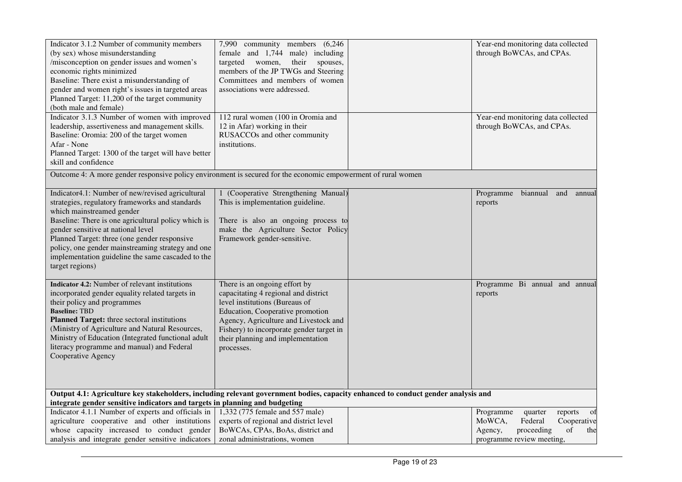| Indicator 3.1.2 Number of community members<br>(by sex) whose misunderstanding<br>/misconception on gender issues and women's<br>economic rights minimized<br>Baseline: There exist a misunderstanding of<br>gender and women right's issues in targeted areas<br>Planned Target: 11,200 of the target community<br>(both male and female)<br>Indicator 3.1.3 Number of women with improved<br>leadership, assertiveness and management skills.<br>Baseline: Oromia: 200 of the target women<br>Afar - None<br>Planned Target: 1300 of the target will have better<br>skill and confidence | 7,990 community members (6,246)<br>female and 1,744 male) including<br>targeted women,<br>their<br>spouses,<br>members of the JP TWGs and Steering<br>Committees and members of women<br>associations were addressed.<br>112 rural women (100 in Oromia and<br>12 in Afar) working in their<br>RUSACCOs and other community<br>institutions. | Year-end monitoring data collected<br>through BoWCAs, and CPAs.<br>Year-end monitoring data collected<br>through BoWCAs, and CPAs. |
|--------------------------------------------------------------------------------------------------------------------------------------------------------------------------------------------------------------------------------------------------------------------------------------------------------------------------------------------------------------------------------------------------------------------------------------------------------------------------------------------------------------------------------------------------------------------------------------------|----------------------------------------------------------------------------------------------------------------------------------------------------------------------------------------------------------------------------------------------------------------------------------------------------------------------------------------------|------------------------------------------------------------------------------------------------------------------------------------|
| Outcome 4: A more gender responsive policy environment is secured for the economic empowerment of rural women                                                                                                                                                                                                                                                                                                                                                                                                                                                                              |                                                                                                                                                                                                                                                                                                                                              |                                                                                                                                    |
| Indicator4.1: Number of new/revised agricultural<br>strategies, regulatory frameworks and standards<br>which mainstreamed gender<br>Baseline: There is one agricultural policy which is<br>gender sensitive at national level<br>Planned Target: three (one gender responsive<br>policy, one gender mainstreaming strategy and one<br>implementation guideline the same cascaded to the<br>target regions)                                                                                                                                                                                 | 1 (Cooperative Strengthening Manual)<br>This is implementation guideline.<br>There is also an ongoing process to<br>make the Agriculture Sector Policy<br>Framework gender-sensitive.                                                                                                                                                        | biannual<br>Programme<br>and<br>annual<br>reports                                                                                  |
| Indicator 4.2: Number of relevant institutions<br>incorporated gender equality related targets in<br>their policy and programmes<br><b>Baseline: TBD</b><br>Planned Target: three sectoral institutions<br>(Ministry of Agriculture and Natural Resources,<br>Ministry of Education (Integrated functional adult<br>literacy programme and manual) and Federal<br>Cooperative Agency                                                                                                                                                                                                       | There is an ongoing effort by<br>capacitating 4 regional and district<br>level institutions (Bureaus of<br>Education, Cooperative promotion<br>Agency, Agriculture and Livestock and<br>Fishery) to incorporate gender target in<br>their planning and implementation<br>processes.                                                          | Programme Bi annual and annual<br>reports                                                                                          |
| Output 4.1: Agriculture key stakeholders, including relevant government bodies, capacity enhanced to conduct gender analysis and                                                                                                                                                                                                                                                                                                                                                                                                                                                           |                                                                                                                                                                                                                                                                                                                                              |                                                                                                                                    |
| integrate gender sensitive indicators and targets in planning and budgeting                                                                                                                                                                                                                                                                                                                                                                                                                                                                                                                |                                                                                                                                                                                                                                                                                                                                              |                                                                                                                                    |
| Indicator 4.1.1 Number of experts and officials in                                                                                                                                                                                                                                                                                                                                                                                                                                                                                                                                         | 1,332 (775 female and 557 male)                                                                                                                                                                                                                                                                                                              | Programme<br>quarter<br>reports<br>of                                                                                              |
| agriculture cooperative and other institutions                                                                                                                                                                                                                                                                                                                                                                                                                                                                                                                                             | experts of regional and district level                                                                                                                                                                                                                                                                                                       | MoWCA,<br>Federal<br>Cooperative                                                                                                   |
| whose capacity increased to conduct gender                                                                                                                                                                                                                                                                                                                                                                                                                                                                                                                                                 | BoWCAs, CPAs, BoAs, district and                                                                                                                                                                                                                                                                                                             | proceeding<br>of<br>the<br>Agency,                                                                                                 |
| analysis and integrate gender sensitive indicators                                                                                                                                                                                                                                                                                                                                                                                                                                                                                                                                         | zonal administrations, women                                                                                                                                                                                                                                                                                                                 | programme review meeting,                                                                                                          |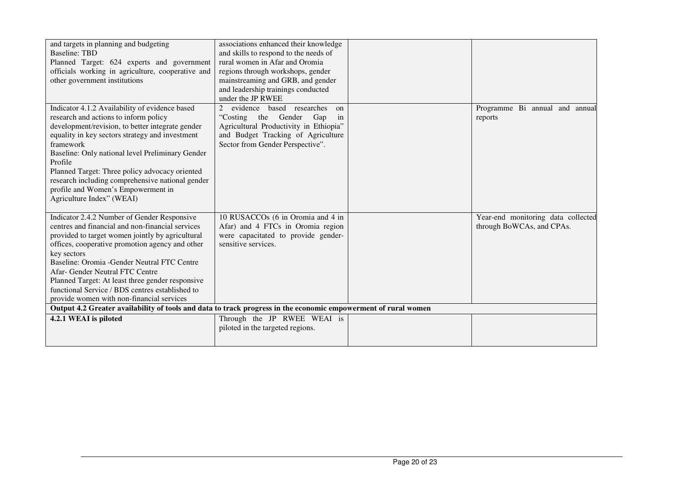| and targets in planning and budgeting                                                                          | associations enhanced their knowledge  |                                    |
|----------------------------------------------------------------------------------------------------------------|----------------------------------------|------------------------------------|
| <b>Baseline: TBD</b>                                                                                           | and skills to respond to the needs of  |                                    |
| Planned Target: 624 experts and government                                                                     | rural women in Afar and Oromia         |                                    |
| officials working in agriculture, cooperative and                                                              | regions through workshops, gender      |                                    |
| other government institutions                                                                                  | mainstreaming and GRB, and gender      |                                    |
|                                                                                                                | and leadership trainings conducted     |                                    |
|                                                                                                                | under the JP RWEE                      |                                    |
| Indicator 4.1.2 Availability of evidence based                                                                 | evidence based researches<br>2<br>on   | Programme Bi annual and annual     |
| research and actions to inform policy                                                                          | the Gender<br>Gap<br>"Costing<br>in    | reports                            |
| development/revision, to better integrate gender                                                               | Agricultural Productivity in Ethiopia" |                                    |
| equality in key sectors strategy and investment                                                                | and Budget Tracking of Agriculture     |                                    |
| framework                                                                                                      | Sector from Gender Perspective".       |                                    |
| Baseline: Only national level Preliminary Gender                                                               |                                        |                                    |
| Profile                                                                                                        |                                        |                                    |
| Planned Target: Three policy advocacy oriented                                                                 |                                        |                                    |
| research including comprehensive national gender                                                               |                                        |                                    |
| profile and Women's Empowerment in                                                                             |                                        |                                    |
| Agriculture Index" (WEAI)                                                                                      |                                        |                                    |
|                                                                                                                |                                        |                                    |
| Indicator 2.4.2 Number of Gender Responsive                                                                    | 10 RUSACCOs (6 in Oromia and 4 in      | Year-end monitoring data collected |
| centres and financial and non-financial services                                                               | Afar) and 4 FTCs in Oromia region      | through BoWCAs, and CPAs.          |
| provided to target women jointly by agricultural                                                               | were capacitated to provide gender-    |                                    |
| offices, cooperative promotion agency and other                                                                | sensitive services.                    |                                    |
| key sectors                                                                                                    |                                        |                                    |
| Baseline: Oromia -Gender Neutral FTC Centre                                                                    |                                        |                                    |
| Afar- Gender Neutral FTC Centre                                                                                |                                        |                                    |
| Planned Target: At least three gender responsive                                                               |                                        |                                    |
| functional Service / BDS centres established to                                                                |                                        |                                    |
| provide women with non-financial services                                                                      |                                        |                                    |
| Output 4.2 Greater availability of tools and data to track progress in the economic empowerment of rural women |                                        |                                    |
| 4.2.1 WEAI is piloted                                                                                          | Through the JP RWEE WEAI is            |                                    |
|                                                                                                                | piloted in the targeted regions.       |                                    |
|                                                                                                                |                                        |                                    |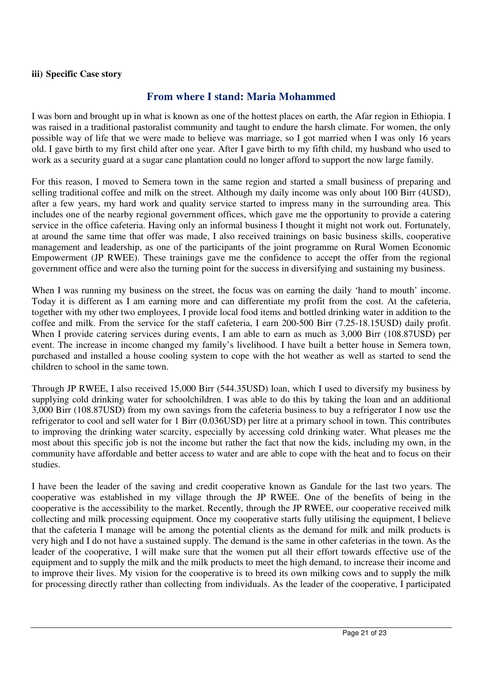#### **iii) Specific Case story**

# **From where I stand: Maria Mohammed**

I was born and brought up in what is known as one of the hottest places on earth, the Afar region in Ethiopia. I was raised in a traditional pastoralist community and taught to endure the harsh climate. For women, the only possible way of life that we were made to believe was marriage, so I got married when I was only 16 years old. I gave birth to my first child after one year. After I gave birth to my fifth child, my husband who used to work as a security guard at a sugar cane plantation could no longer afford to support the now large family.

For this reason, I moved to Semera town in the same region and started a small business of preparing and selling traditional coffee and milk on the street. Although my daily income was only about 100 Birr (4USD), after a few years, my hard work and quality service started to impress many in the surrounding area. This includes one of the nearby regional government offices, which gave me the opportunity to provide a catering service in the office cafeteria. Having only an informal business I thought it might not work out. Fortunately, at around the same time that offer was made, I also received trainings on basic business skills, cooperative management and leadership, as one of the participants of the joint programme on Rural Women Economic Empowerment (JP RWEE). These trainings gave me the confidence to accept the offer from the regional government office and were also the turning point for the success in diversifying and sustaining my business.

When I was running my business on the street, the focus was on earning the daily 'hand to mouth' income. Today it is different as I am earning more and can differentiate my profit from the cost. At the cafeteria, together with my other two employees, I provide local food items and bottled drinking water in addition to the coffee and milk. From the service for the staff cafeteria, I earn 200-500 Birr (7.25-18.15USD) daily profit. When I provide catering services during events, I am able to earn as much as 3,000 Birr (108.87USD) per event. The increase in income changed my family's livelihood. I have built a better house in Semera town, purchased and installed a house cooling system to cope with the hot weather as well as started to send the children to school in the same town.

Through JP RWEE, I also received 15,000 Birr (544.35USD) loan, which I used to diversify my business by supplying cold drinking water for schoolchildren. I was able to do this by taking the loan and an additional 3,000 Birr (108.87USD) from my own savings from the cafeteria business to buy a refrigerator I now use the refrigerator to cool and sell water for 1 Birr (0.036USD) per litre at a primary school in town. This contributes to improving the drinking water scarcity, especially by accessing cold drinking water. What pleases me the most about this specific job is not the income but rather the fact that now the kids, including my own, in the community have affordable and better access to water and are able to cope with the heat and to focus on their studies.

I have been the leader of the saving and credit cooperative known as Gandale for the last two years. The cooperative was established in my village through the JP RWEE. One of the benefits of being in the cooperative is the accessibility to the market. Recently, through the JP RWEE, our cooperative received milk collecting and milk processing equipment. Once my cooperative starts fully utilising the equipment, I believe that the cafeteria I manage will be among the potential clients as the demand for milk and milk products is very high and I do not have a sustained supply. The demand is the same in other cafeterias in the town. As the leader of the cooperative, I will make sure that the women put all their effort towards effective use of the equipment and to supply the milk and the milk products to meet the high demand, to increase their income and to improve their lives. My vision for the cooperative is to breed its own milking cows and to supply the milk for processing directly rather than collecting from individuals. As the leader of the cooperative, I participated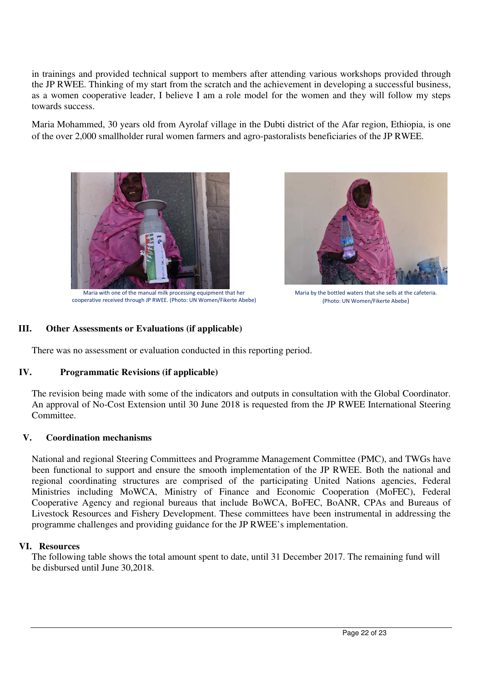in trainings and provided technical support to members after attending various workshops provided through the JP RWEE. Thinking of my start from the scratch and the achievement in developing a successful business, as a women cooperative leader, I believe I am a role model for the women and they will follow my steps towards success.

Maria Mohammed, 30 years old from Ayrolaf village in the Dubti district of the Afar region, Ethiopia, is one of the over 2,000 smallholder rural women farmers and agro-pastoralists beneficiaries of the JP RWEE.



Maria with one of the manual milk processing equipment that her cooperative received through JP RWEE. (Photo: UN Women/Fikerte Abebe)



Maria by the bottled waters that she sells at the cafeteria. (Photo: UN Women/Fikerte Abebe)

# **III. Other Assessments or Evaluations (if applicable)**

There was no assessment or evaluation conducted in this reporting period.

#### **IV. Programmatic Revisions (if applicable)**

The revision being made with some of the indicators and outputs in consultation with the Global Coordinator. An approval of No-Cost Extension until 30 June 2018 is requested from the JP RWEE International Steering Committee.

#### **V. Coordination mechanisms**

National and regional Steering Committees and Programme Management Committee (PMC), and TWGs have been functional to support and ensure the smooth implementation of the JP RWEE. Both the national and regional coordinating structures are comprised of the participating United Nations agencies, Federal Ministries including MoWCA, Ministry of Finance and Economic Cooperation (MoFEC), Federal Cooperative Agency and regional bureaus that include BoWCA, BoFEC, BoANR, CPAs and Bureaus of Livestock Resources and Fishery Development. These committees have been instrumental in addressing the programme challenges and providing guidance for the JP RWEE's implementation.

#### **VI. Resources**

The following table shows the total amount spent to date, until 31 December 2017. The remaining fund will be disbursed until June 30,2018.